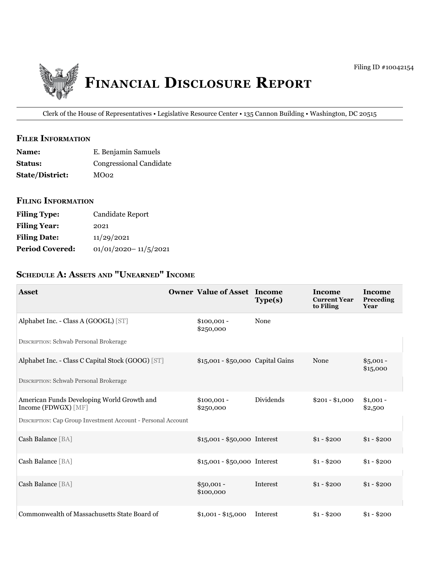

Clerk of the House of Representatives • Legislative Resource Center • 135 Cannon Building • Washington, DC 20515

#### **FILER INFORMATION**

| <b>Name:</b>           | E. Benjamin Samuels     |
|------------------------|-------------------------|
| <b>Status:</b>         | Congressional Candidate |
| <b>State/District:</b> | MO02                    |

### **filing information**

| <b>Filing Type:</b>    | Candidate Report         |
|------------------------|--------------------------|
| <b>Filing Year:</b>    | 2021                     |
| <b>Filing Date:</b>    | 11/29/2021               |
| <b>Period Covered:</b> | $01/01/2020 - 11/5/2021$ |

# SCHEDULE A: ASSETS AND "UNEARNED" INCOME

| <b>Asset</b>                                                        | <b>Owner Value of Asset Income</b> | Type(s)          | Income<br><b>Current Year</b><br>to Filing | <b>Income</b><br>Preceding<br>Year |
|---------------------------------------------------------------------|------------------------------------|------------------|--------------------------------------------|------------------------------------|
| Alphabet Inc. - Class A (GOOGL) [ST]                                | $$100,001 -$<br>\$250,000          | None             |                                            |                                    |
| <b>DESCRIPTION: Schwab Personal Brokerage</b>                       |                                    |                  |                                            |                                    |
| Alphabet Inc. - Class C Capital Stock (GOOG) [ST]                   | \$15,001 - \$50,000 Capital Gains  |                  | None                                       | $$5,001 -$<br>\$15,000             |
| <b>DESCRIPTION: Schwab Personal Brokerage</b>                       |                                    |                  |                                            |                                    |
| American Funds Developing World Growth and<br>Income (FDWGX) [MF]   | $$100,001 -$<br>\$250,000          | <b>Dividends</b> | $$201 - $1,000$                            | $$1,001 -$<br>\$2,500              |
| <b>DESCRIPTION: Cap Group Investment Account - Personal Account</b> |                                    |                  |                                            |                                    |
| Cash Balance [BA]                                                   | \$15,001 - \$50,000 Interest       |                  | $$1 - $200$                                | $$1 - $200$                        |
| Cash Balance [BA]                                                   | \$15,001 - \$50,000 Interest       |                  | $$1 - $200$                                | $$1 - $200$                        |
| Cash Balance [BA]                                                   | $$50,001 -$<br>\$100,000           | Interest         | $$1 - $200$                                | $$1 - $200$                        |
| Commonwealth of Massachusetts State Board of                        | $$1,001 - $15,000$                 | Interest         | $$1 - $200$                                | $$1 - $200$                        |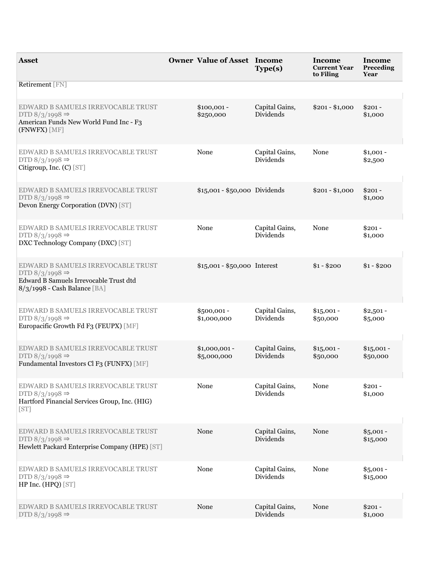| <b>Asset</b>                                                                                                                               | <b>Owner Value of Asset Income</b> | Type(s)                            | Income<br><b>Current Year</b><br>to Filing | Income<br>Preceding<br>Year |
|--------------------------------------------------------------------------------------------------------------------------------------------|------------------------------------|------------------------------------|--------------------------------------------|-----------------------------|
| Retirement [FN]                                                                                                                            |                                    |                                    |                                            |                             |
| EDWARD B SAMUELS IRREVOCABLE TRUST<br>DTD $8/3/1998 \Rightarrow$<br>American Funds New World Fund Inc - F3<br>(FNWFX) [MF]                 | $$100,001 -$<br>\$250,000          | Capital Gains,<br><b>Dividends</b> | $$201 - $1,000$                            | $$201 -$<br>\$1,000         |
| EDWARD B SAMUELS IRREVOCABLE TRUST<br>DTD $8/3/1998 \Rightarrow$<br>Citigroup, Inc. (C) [ST]                                               | None                               | Capital Gains,<br>Dividends        | None                                       | $$1,001 -$<br>\$2,500       |
| EDWARD B SAMUELS IRREVOCABLE TRUST<br>DTD $8/3/1998 \Rightarrow$<br>Devon Energy Corporation (DVN) [ST]                                    | \$15,001 - \$50,000 Dividends      |                                    | $$201 - $1,000$                            | $$201 -$<br>\$1,000         |
| EDWARD B SAMUELS IRREVOCABLE TRUST<br>DTD $8/3/1998 \Rightarrow$<br>DXC Technology Company (DXC) [ST]                                      | None                               | Capital Gains,<br>Dividends        | None                                       | $$201 -$<br>\$1,000         |
| EDWARD B SAMUELS IRREVOCABLE TRUST<br>DTD $8/3/1998 \Rightarrow$<br>Edward B Samuels Irrevocable Trust dtd<br>8/3/1998 - Cash Balance [BA] | $$15,001 - $50,000$ Interest       |                                    | $$1 - $200$                                | $$1 - $200$                 |
| EDWARD B SAMUELS IRREVOCABLE TRUST<br>DTD $8/3/1998 \Rightarrow$<br>Europacific Growth Fd F3 (FEUPX) [MF]                                  | \$500,001 -<br>\$1,000,000         | Capital Gains,<br>Dividends        | $$15,001 -$<br>\$50,000                    | $$2,501 -$<br>\$5,000       |
| EDWARD B SAMUELS IRREVOCABLE TRUST<br>DTD $8/3/1998 \Rightarrow$<br>Fundamental Investors Cl F3 (FUNFX) [MF]                               | $$1,000,001 -$<br>\$5,000,000      | Capital Gains,<br>Dividends        | $$15,001 -$<br>\$50,000                    | $$15,001 -$<br>\$50,000     |
| EDWARD B SAMUELS IRREVOCABLE TRUST<br>DTD $8/3/1998 \Rightarrow$<br>Hartford Financial Services Group, Inc. (HIG)<br>[ST]                  | None                               | Capital Gains,<br>Dividends        | None                                       | $$201 -$<br>\$1,000         |
| EDWARD B SAMUELS IRREVOCABLE TRUST<br>DTD $8/3/1998 \Rightarrow$<br>Hewlett Packard Enterprise Company (HPE) [ST]                          | None                               | Capital Gains,<br>Dividends        | None                                       | $$5,001 -$<br>\$15,000      |
| EDWARD B SAMUELS IRREVOCABLE TRUST<br>DTD $8/3/1998 \Rightarrow$<br>HP Inc. (HPQ) [ST]                                                     | None                               | Capital Gains,<br>Dividends        | None                                       | $$5,001 -$<br>\$15,000      |
| EDWARD B SAMUELS IRREVOCABLE TRUST<br>DTD $8/3/1998 \Rightarrow$                                                                           | None                               | Capital Gains,<br>Dividends        | None                                       | $$201 -$<br>\$1,000         |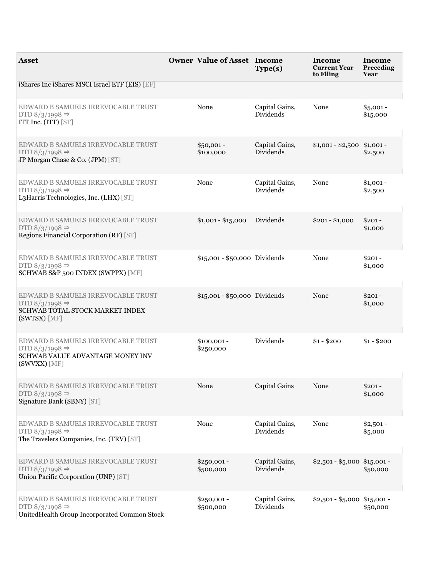| <b>Asset</b>                                                                                                                | <b>Owner Value of Asset Income</b> | Type(s)                            | Income<br><b>Current Year</b><br>to Filing | Income<br>Preceding<br>Year |
|-----------------------------------------------------------------------------------------------------------------------------|------------------------------------|------------------------------------|--------------------------------------------|-----------------------------|
| iShares Inc iShares MSCI Israel ETF (EIS) [EF]                                                                              |                                    |                                    |                                            |                             |
| EDWARD B SAMUELS IRREVOCABLE TRUST<br>DTD $8/3/1998 \Rightarrow$<br>ITT Inc. (ITT) [ST]                                     | None                               | Capital Gains,<br><b>Dividends</b> | None                                       | $$5,001 -$<br>\$15,000      |
| EDWARD B SAMUELS IRREVOCABLE TRUST<br>DTD $8/3/1998 \Rightarrow$<br>JP Morgan Chase & Co. (JPM) [ST]                        | $$50,001 -$<br>\$100,000           | Capital Gains,<br><b>Dividends</b> | $$1,001 - $2,500$ \$1,001 -                | \$2,500                     |
| EDWARD B SAMUELS IRREVOCABLE TRUST<br>DTD $8/3/1998 \Rightarrow$<br>L3Harris Technologies, Inc. (LHX) [ST]                  | None                               | Capital Gains,<br><b>Dividends</b> | None                                       | $$1,001 -$<br>\$2,500       |
| EDWARD B SAMUELS IRREVOCABLE TRUST<br>DTD $8/3/1998 \Rightarrow$<br>Regions Financial Corporation (RF) [ST]                 | $$1,001 - $15,000$                 | Dividends                          | $$201 - $1,000$                            | $$201 -$<br>\$1,000         |
| EDWARD B SAMUELS IRREVOCABLE TRUST<br>DTD $8/3/1998 \Rightarrow$<br>SCHWAB S&P 500 INDEX (SWPPX) [MF]                       | \$15,001 - \$50,000 Dividends      |                                    | None                                       | $$201 -$<br>\$1,000         |
| EDWARD B SAMUELS IRREVOCABLE TRUST<br>DTD $8/3/1998 \Rightarrow$<br>SCHWAB TOTAL STOCK MARKET INDEX<br>(SWTSX) [MF]         | \$15,001 - \$50,000 Dividends      |                                    | None                                       | $$201 -$<br>\$1,000         |
| EDWARD B SAMUELS IRREVOCABLE TRUST<br>DTD $8/3/1998 \Rightarrow$<br><b>SCHWAB VALUE ADVANTAGE MONEY INV</b><br>(SWVXX) [MF] | $$100,001 -$<br>\$250,000          | Dividends                          | $$1 - $200$                                | $$1 - $200$                 |
| EDWARD B SAMUELS IRREVOCABLE TRUST<br>DTD $8/3/1998 \Rightarrow$<br>Signature Bank (SBNY) [ST]                              | None                               | Capital Gains                      | None                                       | $$201 -$<br>\$1,000         |
| EDWARD B SAMUELS IRREVOCABLE TRUST<br>DTD $8/3/1998 \Rightarrow$<br>The Travelers Companies, Inc. (TRV) [ST]                | None                               | Capital Gains,<br>Dividends        | None                                       | $$2,501 -$<br>\$5,000       |
| EDWARD B SAMUELS IRREVOCABLE TRUST<br>DTD $8/3/1998 \Rightarrow$<br>Union Pacific Corporation (UNP) [ST]                    | $$250,001 -$<br>\$500,000          | Capital Gains,<br><b>Dividends</b> | $$2,501 - $5,000$ \$15,001 -               | \$50,000                    |
| EDWARD B SAMUELS IRREVOCABLE TRUST<br>DTD $8/3/1998 \Rightarrow$<br>UnitedHealth Group Incorporated Common Stock            | $$250,001 -$<br>\$500,000          | Capital Gains,<br>Dividends        | $$2,501 - $5,000$ \$15,001 -               | \$50,000                    |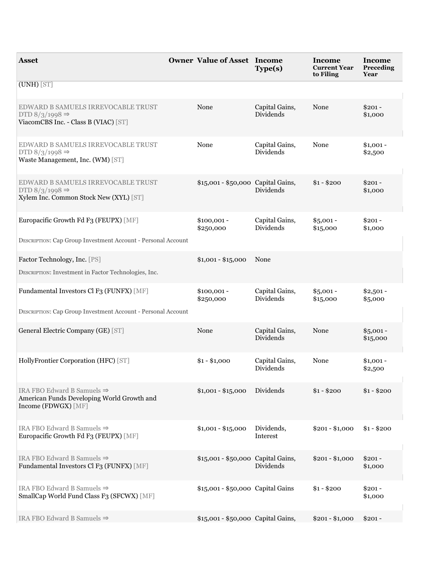| <b>Asset</b>                                                                                                | <b>Owner Value of Asset Income</b> | Type(s)                            | Income<br><b>Current Year</b><br>to Filing | Income<br>Preceding<br>Year |
|-------------------------------------------------------------------------------------------------------------|------------------------------------|------------------------------------|--------------------------------------------|-----------------------------|
| $(UNH)$ [ST]                                                                                                |                                    |                                    |                                            |                             |
| EDWARD B SAMUELS IRREVOCABLE TRUST<br>DTD $8/3/1998 \Rightarrow$<br>ViacomCBS Inc. - Class B (VIAC) [ST]    | None                               | Capital Gains,<br>Dividends        | None                                       | $$201 -$<br>\$1,000         |
| EDWARD B SAMUELS IRREVOCABLE TRUST<br>DTD $8/3/1998 \Rightarrow$<br>Waste Management, Inc. (WM) [ST]        | None                               | Capital Gains,<br>Dividends        | None                                       | $$1,001 -$<br>\$2,500       |
| EDWARD B SAMUELS IRREVOCABLE TRUST<br>DTD $8/3/1998 \Rightarrow$<br>Xylem Inc. Common Stock New (XYL) [ST]  | \$15,001 - \$50,000 Capital Gains, | Dividends                          | $$1 - $200$                                | $$201 -$<br>\$1,000         |
| Europacific Growth Fd F3 (FEUPX) [MF]<br>DESCRIPTION: Cap Group Investment Account - Personal Account       | $$100,001 -$<br>\$250,000          | Capital Gains,<br>Dividends        | $$5,001 -$<br>\$15,000                     | $$201 -$<br>\$1,000         |
|                                                                                                             |                                    |                                    |                                            |                             |
| Factor Technology, Inc. [PS]<br>DESCRIPTION: Investment in Factor Technologies, Inc.                        | $$1,001 - $15,000$                 | None                               |                                            |                             |
| Fundamental Investors Cl F3 (FUNFX) [MF]                                                                    | $$100,001 -$<br>\$250,000          | Capital Gains,<br>Dividends        | $$5,001 -$<br>\$15,000                     | $$2,501 -$<br>\$5,000       |
| <b>DESCRIPTION: Cap Group Investment Account - Personal Account</b>                                         |                                    |                                    |                                            |                             |
| General Electric Company (GE) [ST]                                                                          | None                               | Capital Gains,<br>Dividends        | None                                       | $$5,001 -$<br>\$15,000      |
| HollyFrontier Corporation (HFC) [ST]                                                                        | $$1 - $1,000$                      | Capital Gains,<br><b>Dividends</b> | None                                       | $$1,001 -$<br>\$2,500       |
| IRA FBO Edward B Samuels $\Rightarrow$<br>American Funds Developing World Growth and<br>Income (FDWGX) [MF] | $$1,001 - $15,000$                 | Dividends                          | $$1 - $200$                                | $$1 - $200$                 |
| IRA FBO Edward B Samuels $\Rightarrow$<br>Europacific Growth Fd F3 (FEUPX) [MF]                             | $$1,001 - $15,000$                 | Dividends,<br>Interest             | $$201 - $1,000$                            | $$1 - $200$                 |
| IRA FBO Edward B Samuels $\Rightarrow$<br>Fundamental Investors Cl F3 (FUNFX) [MF]                          | \$15,001 - \$50,000 Capital Gains, | Dividends                          | $$201 - $1,000$                            | $$201 -$<br>\$1,000         |
| IRA FBO Edward B Samuels $\Rightarrow$<br>SmallCap World Fund Class F3 (SFCWX) [MF]                         | \$15,001 - \$50,000 Capital Gains  |                                    | $$1 - $200$                                | $$201 -$<br>\$1,000         |
| IRA FBO Edward B Samuels $\Rightarrow$                                                                      | \$15,001 - \$50,000 Capital Gains, |                                    | $$201 - $1,000$                            | $$201 -$                    |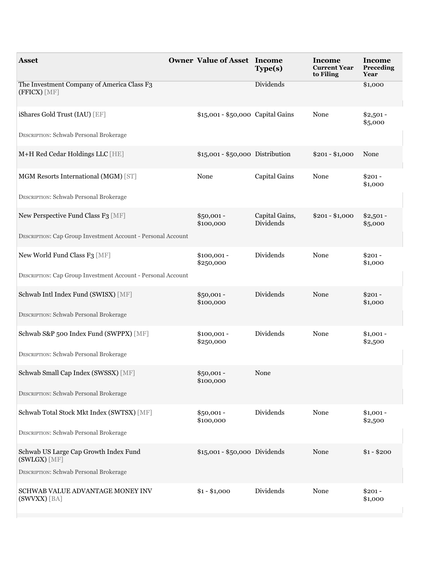| <b>Asset</b>                                                        | <b>Owner Value of Asset Income</b> | Type(s)                     | Income<br><b>Current Year</b><br>to Filing | Income<br>Preceding<br>Year |
|---------------------------------------------------------------------|------------------------------------|-----------------------------|--------------------------------------------|-----------------------------|
| The Investment Company of America Class F3<br>(FFICX) [MF]          |                                    | Dividends                   |                                            | \$1,000                     |
| iShares Gold Trust (IAU) [EF]                                       | \$15,001 - \$50,000 Capital Gains  |                             | None                                       | $$2,501 -$<br>\$5,000       |
| <b>DESCRIPTION: Schwab Personal Brokerage</b>                       |                                    |                             |                                            |                             |
| M+H Red Cedar Holdings LLC [HE]                                     | \$15,001 - \$50,000 Distribution   |                             | $$201 - $1,000$                            | None                        |
| MGM Resorts International (MGM) [ST]                                | None                               | Capital Gains               | None                                       | $$201 -$<br>\$1,000         |
| <b>DESCRIPTION: Schwab Personal Brokerage</b>                       |                                    |                             |                                            |                             |
| New Perspective Fund Class F3 [MF]                                  | \$50,001 -<br>\$100,000            | Capital Gains,<br>Dividends | $$201 - $1,000$                            | $$2,501 -$<br>\$5,000       |
| <b>DESCRIPTION: Cap Group Investment Account - Personal Account</b> |                                    |                             |                                            |                             |
| New World Fund Class F3 [MF]                                        | $$100,001 -$<br>\$250,000          | Dividends                   | None                                       | $$201 -$<br>\$1,000         |
| <b>DESCRIPTION: Cap Group Investment Account - Personal Account</b> |                                    |                             |                                            |                             |
| Schwab Intl Index Fund (SWISX) [MF]                                 | \$50,001 -<br>\$100,000            | Dividends                   | None                                       | $$201 -$<br>\$1,000         |
| <b>DESCRIPTION: Schwab Personal Brokerage</b>                       |                                    |                             |                                            |                             |
| Schwab S&P 500 Index Fund (SWPPX) [MF]                              | $$100,001 -$<br>\$250,000          | Dividends                   | None                                       | $$1,001 -$<br>\$2,500       |
| <b>DESCRIPTION: Schwab Personal Brokerage</b>                       |                                    |                             |                                            |                             |
| Schwab Small Cap Index (SWSSX) [MF]                                 | $$50,001 -$<br>\$100,000           | None                        |                                            |                             |
| <b>DESCRIPTION: Schwab Personal Brokerage</b>                       |                                    |                             |                                            |                             |
| Schwab Total Stock Mkt Index (SWTSX) [MF]                           | $$50,001 -$<br>\$100,000           | Dividends                   | None                                       | $$1,001 -$<br>\$2,500       |
| DESCRIPTION: Schwab Personal Brokerage                              |                                    |                             |                                            |                             |
| Schwab US Large Cap Growth Index Fund<br>(SWLGX) [MF]               | \$15,001 - \$50,000 Dividends      |                             | None                                       | $$1 - $200$                 |
| <b>DESCRIPTION: Schwab Personal Brokerage</b>                       |                                    |                             |                                            |                             |
| SCHWAB VALUE ADVANTAGE MONEY INV<br>(SWVXX) [BA]                    | $$1 - $1,000$                      | Dividends                   | None                                       | $$201 -$<br>\$1,000         |
|                                                                     |                                    |                             |                                            |                             |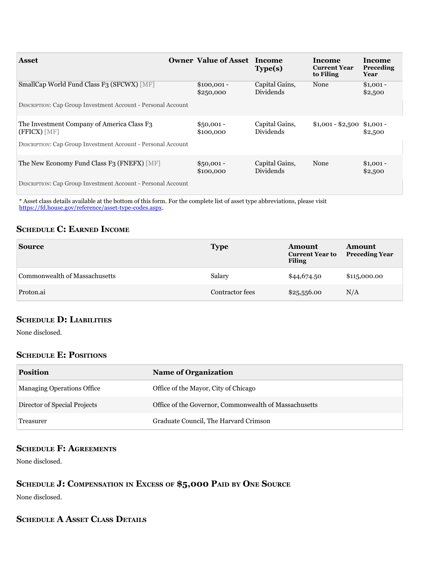| <b>Asset</b>                                                               | <b>Owner Value of Asset Income</b> | Type(s)                            | Income<br><b>Current Year</b><br>to Filing | Income<br>Preceding<br>Year |
|----------------------------------------------------------------------------|------------------------------------|------------------------------------|--------------------------------------------|-----------------------------|
| SmallCap World Fund Class F3 (SFCWX) [MF]                                  | $$100,001 -$<br>\$250,000          | Capital Gains,<br>Dividends        | None                                       | $$1,001 -$<br>\$2,500       |
| <b>DESCRIPTION: Cap Group Investment Account - Personal Account</b>        |                                    |                                    |                                            |                             |
| The Investment Company of America Class F <sub>3</sub><br>$(FFICX)$ $[MF]$ | $$50,001 -$<br>\$100,000           | Capital Gains,<br><b>Dividends</b> | $$1,001 - $2,500$ \$1,001 -                | \$2,500                     |
| <b>DESCRIPTION: Cap Group Investment Account - Personal Account</b>        |                                    |                                    |                                            |                             |
| The New Economy Fund Class F <sub>3</sub> (FNEFX) [MF]                     | $$50,001 -$<br>\$100,000           | Capital Gains,<br>Dividends        | None                                       | $$1,001 -$<br>\$2,500       |
| <b>DESCRIPTION: Cap Group Investment Account - Personal Account</b>        |                                    |                                    |                                            |                             |

\* Asset class details available at the bottom of this form. For the complete list of asset type abbreviations, please visit https://fd.house.gov/reference/asset-type-codes.aspx.

### **SCHEDULE C: EARNED INCOME**

| <b>Source</b>                 | <b>Type</b>     | Amount<br><b>Current Year to</b><br><b>Filing</b> | Amount<br><b>Preceding Year</b> |
|-------------------------------|-----------------|---------------------------------------------------|---------------------------------|
| Commonwealth of Massachusetts | Salary          | \$44,674.50                                       | \$115,000.00                    |
| Proton.ai                     | Contractor fees | \$25,556.00                                       | N/A                             |

#### **ScheDule D: liabilitieS**

None disclosed.

#### **SCHEDULE E: POSITIONS**

| <b>Position</b>                   | <b>Name of Organization</b>                           |
|-----------------------------------|-------------------------------------------------------|
| <b>Managing Operations Office</b> | Office of the Mayor, City of Chicago                  |
| Director of Special Projects      | Office of the Governor, Commonwealth of Massachusetts |
| Treasurer                         | Graduate Council, The Harvard Crimson                 |

#### **SCHEDULE F: AGREEMENTS**

None disclosed.

## SCHEDULE **J:** COMPENSATION IN EXCESS OF \$5,000 PAID BY ONE SOURCE

None disclosed.

## **SCHEDULE A ASSET CLASS DETAILS**